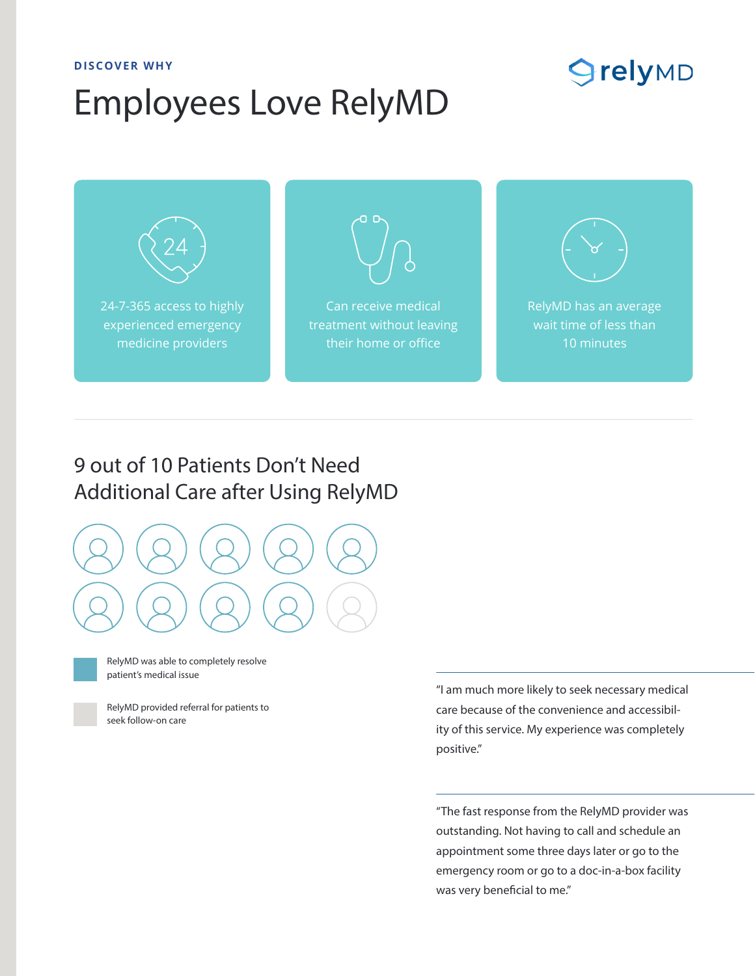#### **DISCOVER WHY**

# Employees Love RelyMD

## **SrelyMD**



## 9 out of 10 Patients Don't Need Additional Care after Using RelyMD





RelyMD was able to completely resolve patient's medical issue

RelyMD provided referral for patients to seek follow-on care

"I am much more likely to seek necessary medical care because of the convenience and accessibility of this service. My experience was completely positive."

"The fast response from the RelyMD provider was outstanding. Not having to call and schedule an appointment some three days later or go to the emergency room or go to a doc-in-a-box facility was very beneficial to me."